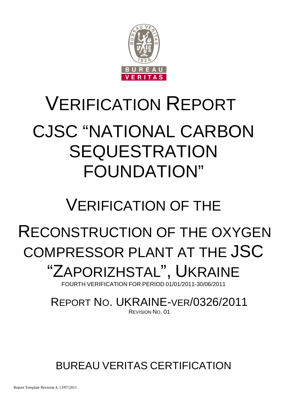

# VERIFICATION REPORT CJSC "NATIONAL CARBON SEQUESTRATION FOUNDATION"

## VERIFICATION OF THE

## RECONSTRUCTION OF THE OXYGEN COMPRESSOR PLANT AT THE JSC

## "ZAPORIZHSTAL", UKRAINE

FOURTH VERIFICATION FOR PERIOD 01/01/2011-30/06/2011

## REPORT NO. UKRAINE-VER/0326/2011 REVISION NO. 01

BUREAU VERITAS CERTIFICATION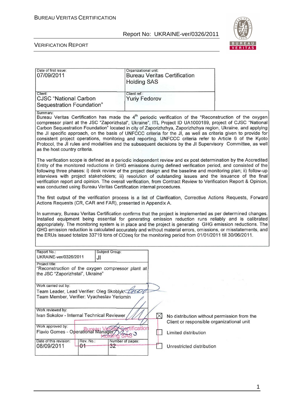

#### VERIFICATION REPORT

| Date of first issue:<br>07/09/2011                                   | Organizational unit:<br><b>Bureau Veritas Certification</b><br><b>Holding SAS</b> |  |  |
|----------------------------------------------------------------------|-----------------------------------------------------------------------------------|--|--|
| Client:<br><b>CJSC "National Carbon</b><br>Sequestration Foundation" | Client ref.:<br><b>Yuriy Fedorov</b>                                              |  |  |

Summary:

Bureau Veritas Certification has made the 4<sup>th</sup> periodic verification of the "Reconstruction of the oxygen compressor plant at the JSC "Zaporizhstal", Ukraine", ITL Project ID UA1000189, project of CJSC "National Carbon Sequestration Foundation" located in city of Zaporizhzhya, Zaporizhzhya region, Ukraine, and applying the JI specific approach, on the basis of UNFCCC criteria for the JI, as well as criteria given to provide for consistent project operations, monitoring and reporting. UNFCCC criteria refer to Article 6 of the Kyoto Protocol, the JI rules and modalities and the subsequent decisions by the JI Supervisory Committee, as well as the host country criteria.

The verification scope is defined as a periodic independent review and ex post determination by the Accredited Entity of the monitored reductions in GHG emissions during defined verification period, and consisted of the following three phases: i) desk review of the project design and the baseline and monitoring plan; ii) follow-up interviews with project stakeholders; iii) resolution of outstanding issues and the issuance of the final verification report and opinion. The overall verification, from Contract Review to Verification Report & Opinion, was conducted using Bureau Veritas Certification internal procedures.

The first output of the verification process is a list of Clarification, Corrective Actions Requests, Forward Actions Requests (CR, CAR and FAR), presented in Appendix A.

In summary, Bureau Veritas Certification confirms that the project is implemented as per determined changes. Installed equipment being essential for generating emission reduction runs reliably and is calibrated appropriately. The monitoring system is in place and the project is generating GHG emission reductions. The GHG emission reduction is calculated accurately and without material errors, omissions, or misstatements, and the ERUs issued totalize 33719 tons of CO2eq for the monitoring period from 01/01/2011 till 30/06/2011.

| Report No.:<br>UKRAINE-ver/0326/2011                                                                           | JI              | Subject Group:         |                                                                                          |
|----------------------------------------------------------------------------------------------------------------|-----------------|------------------------|------------------------------------------------------------------------------------------|
| Project title:<br>"Reconstruction of the oxygen compressor plant at<br>the JSC "Zaporizhstal", Ukraine"        |                 |                        |                                                                                          |
| Work carried out by:<br>Team Leader, Lead Verifier: Oleg Skoblyk<br>Team Member, Verifier: Vyacheslav Yeriomin |                 |                        |                                                                                          |
| Work reviewed by:                                                                                              |                 |                        |                                                                                          |
| Ivan Sokolov - Internal Technical Reviewer                                                                     |                 |                        | No distribution without permission from the<br>Client or responsible organizational unit |
| Work approved by:<br>Flavio Gomes - Operational Manager                                                        |                 | ertification           | Limited distribution                                                                     |
| Date of this revision:<br>08/09/2011                                                                           | Rev. No.:<br>04 | Number of pages:<br>32 | Unrestricted distribution                                                                |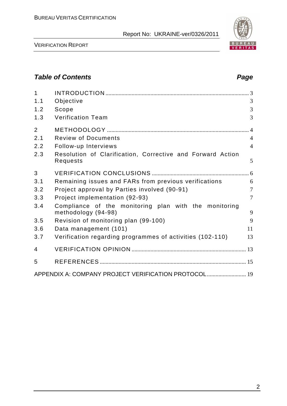VERIFICATION REPORT

## **Table of Contents Page 2018**

| $\mathbf{1}$   |                                                                        |                |
|----------------|------------------------------------------------------------------------|----------------|
| 1.1            | Objective                                                              | 3              |
| 1.2            | Scope                                                                  | $\overline{3}$ |
| 1.3            | <b>Verification Team</b>                                               | 3              |
| $\overline{2}$ |                                                                        | $\overline{4}$ |
| 2.1            | <b>Review of Documents</b>                                             | $\overline{4}$ |
| 2.2            | Follow-up Interviews                                                   | $\overline{4}$ |
| 2.3            | Resolution of Clarification, Corrective and Forward Action<br>Requests | 5              |
| 3              |                                                                        |                |
| 3.1            | Remaining issues and FARs from previous verifications                  | 6              |
| 3.2            | Project approval by Parties involved (90-91)                           | $\overline{7}$ |
| 3.3            | Project implementation (92-93)                                         | $\overline{7}$ |
| 3.4            | Compliance of the monitoring plan with the monitoring                  |                |
|                | methodology (94-98)                                                    | 9              |
| 3.5            | Revision of monitoring plan (99-100)                                   | 9              |
| 3.6            | Data management (101)                                                  | 11             |
| 3.7            | Verification regarding programmes of activities (102-110)              | 13             |
| 4              |                                                                        |                |
| 5              |                                                                        |                |
|                | APPENDIX A: COMPANY PROJECT VERIFICATION PROTOCOL 19                   |                |

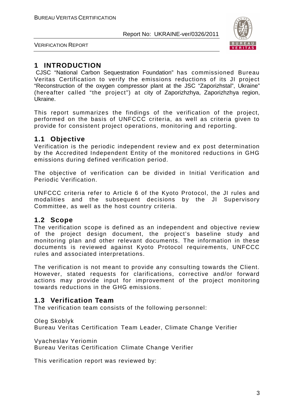

VERIFICATION REPORT

## **1 INTRODUCTION**

 CJSC "National Carbon Sequestration Foundation" has commissioned Bureau Veritas Certification to verify the emissions reductions of its JI project "Reconstruction of the oxygen compressor plant at the JSC "Zaporizhstal", Ukraine" (hereafter called "the project") at city of Zaporizhzhya, Zaporizhzhya region, Ukraine.

This report summarizes the findings of the verification of the project, performed on the basis of UNFCCC criteria, as well as criteria given to provide for consistent project operations, monitoring and reporting.

## **1.1 Objective**

Verification is the periodic independent review and ex post determination by the Accredited Independent Entity of the monitored reductions in GHG emissions during defined verification period.

The objective of verification can be divided in Initial Verification and Periodic Verification.

UNFCCC criteria refer to Article 6 of the Kyoto Protocol, the JI rules and modalities and the subsequent decisions by the JI Supervisory Committee, as well as the host country criteria.

## **1.2 Scope**

The verification scope is defined as an independent and objective review of the project design document, the project's baseline study and monitoring plan and other relevant documents. The information in these documents is reviewed against Kyoto Protocol requirements, UNFCCC rules and associated interpretations.

The verification is not meant to provide any consulting towards the Client. However, stated requests for clarifications, corrective and/or forward actions may provide input for improvement of the project monitoring towards reductions in the GHG emissions.

## **1.3 Verification Team**

The verification team consists of the following personnel:

Oleg Skoblyk

Bureau Veritas Certification Team Leader, Climate Change Verifier

Vyacheslav Yeriomin

Bureau Veritas Certification Climate Change Verifier

This verification report was reviewed by: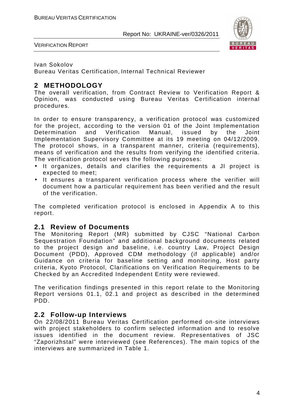

VERIFICATION REPORT

#### Ivan Sokolov

Bureau Veritas Certification, Internal Technical Reviewer

## **2 METHODOLOGY**

The overall verification, from Contract Review to Verification Report & Opinion, was conducted using Bureau Veritas Certification internal procedures.

In order to ensure transparency, a verification protocol was customized for the project, according to the version 01 of the Joint Implementation Determination and Verification Manual, issued by the Joint Implementation Supervisory Committee at its 19 meeting on 04/12/2009. The protocol shows, in a transparent manner, criteria (requirements), means of verification and the results from verifying the identified criteria. The verification protocol serves the following purposes:

- It organizes, details and clarifies the requirements a JI project is expected to meet;
- It ensures a transparent verification process where the verifier will document how a particular requirement has been verified and the result of the verification.

The completed verification protocol is enclosed in Appendix A to this report.

### **2.1 Review of Documents**

The Monitoring Report (MR) submitted by CJSC "National Carbon Sequestration Foundation" and additional background documents related to the project design and baseline, i.e. country Law, Project Design Document (PDD), Approved CDM methodology (if applicable) and/or Guidance on criteria for baseline setting and monitoring, Host party criteria, Kyoto Protocol, Clarifications on Verification Requirements to be Checked by an Accredited Independent Entity were reviewed.

The verification findings presented in this report relate to the Monitoring Report versions 01.1, 02.1 and project as described in the determined PDD.

## **2.2 Follow-up Interviews**

On 22/08/2011 Bureau Veritas Certification performed on-site interviews with project stakeholders to confirm selected information and to resolve issues identified in the document review. Representatives of JSC "Zaporizhstal" were interviewed (see References). The main topics of the interviews are summarized in Table 1.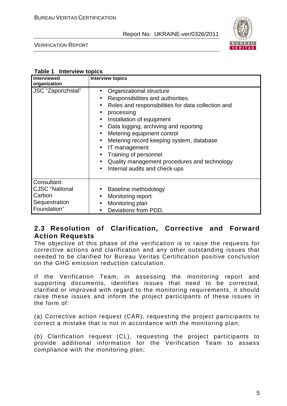

VERIFICATION REPORT

| Table 1 Interview topics |  |
|--------------------------|--|
|                          |  |

| <b>Interviewed</b><br>organization                                             | <b>Interview topics</b>                                                                                                                                                                                                                                                                                                                                                                                                                                                                                                                                                 |
|--------------------------------------------------------------------------------|-------------------------------------------------------------------------------------------------------------------------------------------------------------------------------------------------------------------------------------------------------------------------------------------------------------------------------------------------------------------------------------------------------------------------------------------------------------------------------------------------------------------------------------------------------------------------|
| JSC "Zaporizhstal"                                                             | Organizational structure<br>$\bullet$<br>Responsibilities and authorities<br>$\bullet$<br>Roles and responsibilities for data collection and<br>$\bullet$<br>processing<br>$\bullet$<br>Installation of equipment<br>$\bullet$<br>Data logging, archiving and reporting<br>$\bullet$<br>Metering equipment control<br>$\bullet$<br>Metering record keeping system, database<br>$\bullet$<br>IT management<br>$\bullet$<br>Training of personnel<br>$\bullet$<br>Quality management procedures and technology<br>$\bullet$<br>Internal audits and check-ups<br>$\bullet$ |
| Consultant:<br><b>CJSC</b> "National<br>Carbon<br>Sequestration<br>Foundation" | Baseline methodology<br>Monitoring report<br>$\bullet$<br>Monitoring plan<br>$\bullet$<br>Deviations from PDD.<br>$\bullet$                                                                                                                                                                                                                                                                                                                                                                                                                                             |

## **2.3 Resolution of Clarification, Corrective and Forward Action Requests**

The objective of this phase of the verification is to raise the requests for corrective actions and clarification and any other outstanding issues that needed to be clarified for Bureau Veritas Certification positive conclusion on the GHG emission reduction calculation.

If the Verification Team, in assessing the monitoring report and supporting documents, identifies issues that need to be corrected, clarified or improved with regard to the monitoring requirements, it should raise these issues and inform the project participants of these issues in the form of:

(a) Corrective action request (CAR), requesting the project participants to correct a mistake that is not in accordance with the monitoring plan;

(b) Clarification request (CL), requesting the project participants to provide additional information for the Verification Team to assess compliance with the monitoring plan;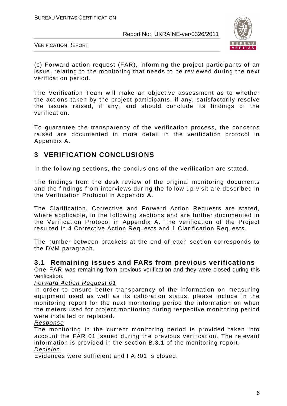

VERIFICATION REPORT

(c) Forward action request (FAR), informing the project participants of an issue, relating to the monitoring that needs to be reviewed during the next verification period.

The Verification Team will make an objective assessment as to whether the actions taken by the project participants, if any, satisfactorily resolve the issues raised, if any, and should conclude its findings of the verification.

To guarantee the transparency of the verification process, the concerns raised are documented in more detail in the verification protocol in Appendix A.

## **3 VERIFICATION CONCLUSIONS**

In the following sections, the conclusions of the verification are stated.

The findings from the desk review of the original monitoring documents and the findings from interviews during the follow up visit are described in the Verification Protocol in Appendix A.

The Clarification, Corrective and Forward Action Requests are stated, where applicable, in the following sections and are further documented in the Verification Protocol in Appendix A. The verification of the Project resulted in 4 Corrective Action Requests and 1 Clarification Requests.

The number between brackets at the end of each section corresponds to the DVM paragraph.

#### **3.1 Remaining issues and FARs from previous verifications**

One FAR was remaining from previous verification and they were closed during this verification.

#### Forward Action Request 01

In order to ensure better transparency of the information on measuring equipment used as well as its calibration status, please include in the monitoring report for the next monitoring period the information on when the meters used for project monitoring during respective monitoring period were installed or replaced.

#### Response

The monitoring in the current monitoring period is provided taken into account the FAR 01 issued during the previous verification. The relevant information is provided in the section B.3.1 of the monitoring report. Decision

Evidences were sufficient and FAR01 is closed.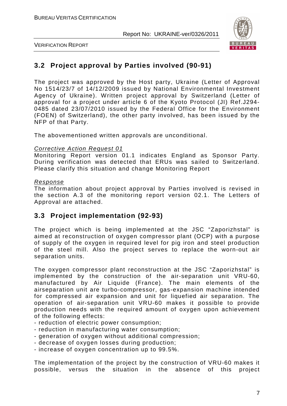

VERIFICATION REPORT

## **3.2 Project approval by Parties involved (90-91)**

The project was approved by the Host party, Ukraine (Letter of Approval No 1514/23/7 of 14/12/2009 issued by National Environmental Investment Agency of Ukraine). Written project approval by Switzerland (Letter of approval for a project under article 6 of the Kyoto Protocol (JI) Ref.J294- 0485 dated 23/07/2010 issued by the Federal Office for the Environment (FOEN) of Switzerland), the other party involved, has been issued by the NFP of that Party.

The abovementioned written approvals are unconditional.

#### Corrective Action Request 01

Monitoring Report version 01.1 indicates England as Sponsor Party. During verification was detected that ERUs was sailed to Switzerland. Please clarify this situation and change Monitoring Report

#### Response

The information about project approval by Parties involved is revised in the section A.3 of the monitoring report version 02.1. The Letters of Approval are attached.

### **3.3 Project implementation (92-93)**

The project which is being implemented at the JSC "Zaporizhstal" is aimed at reconstruction of oxygen compressor plant (OCP) with a purpose of supply of the oxygen in required level for pig iron and steel production of the steel mill. Also the project serves to replace the worn-out air separation units.

The oxygen compressor plant reconstruction at the JSC "Zaporizhstal" is implemented by the construction of the air-separation unit VRU-60, manufactured by Air Liquide (France). The main elements of the airseparation unit are turbo-compressor, gas-expansion machine intended for compressed air expansion and unit for liquefied air separation. The operation of air-separation unit VRU-60 makes it possible to provide production needs with the required amount of oxygen upon achievement of the following effects:

- reduction of electric power consumption;
- reduction in manufacturing water consumption;
- generation of oxygen without additional compression;
- decrease of oxygen losses during production;

- increase of oxygen concentration up to 99.5%.

The implementation of the project by the construction of VRU-60 makes it possible, versus the situation in the absence of this project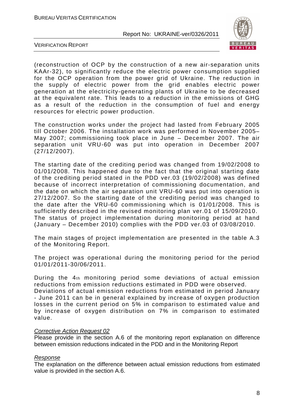

VERIFICATION REPORT

(reconstruction of OCP by the construction of a new air-separation units KAAr-32), to significantly reduce the electric power consumption supplied for the OCP operation from the power grid of Ukraine. The reduction in the supply of electric power from the grid enables electric power generation at the electricity-generating plants of Ukraine to be decreased at the equivalent rate. This leads to a reduction in the emissions of GHG as a result of the reduction in the consumption of fuel and energy resources for electric power production.

The construction works under the project had lasted from February 2005 till October 2006. The installation work was performed in November 2005– May 2007; commissioning took place in June – December 2007. The air separation unit VRU-60 was put into operation in December 2007 (27/12/2007).

The starting date of the crediting period was changed from 19/02/2008 to 01/01/2008. This happened due to the fact that the original starting date of the crediting period stated in the PDD ver.03 (19/02/2008) was defined because of incorrect interpretation of commissioning documentation, and the date on which the air separation unit VRU-60 was put into operation is 27/12/2007. So the starting date of the crediting period was changed to the date after the VRU-60 commissioning which is 01/01/2008. This is sufficiently described in the revised monitoring plan ver.01 of 15/09/2010. The status of project implementation during monitoring period at hand (January – December 2010) complies with the PDD ver.03 of 03/08/2010.

The main stages of project implementation are presented in the table A.3 of the Monitoring Report.

The project was operational during the monitoring period for the period 01/01/2011-30/06/2011.

During the 4th monitoring period some deviations of actual emission reductions from emission reductions estimated in PDD were observed.

Deviations of actual emission reductions from estimated in period January - June 2011 can be in general explained by increase of oxygen production losses in the current period on 5% in comparison to estimated value and by increase of oxygen distribution on 7% in comparison to estimated value.

#### Corrective Action Request 02

Please provide in the section A.6 of the monitoring report explanation on difference between emission reductions indicated in the PDD and in the Monitoring Report

#### Response

The explanation on the difference between actual emission reductions from estimated value is provided in the section A.6.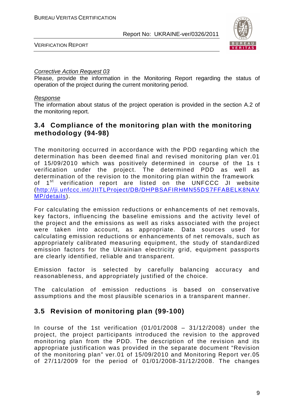

VERIFICATION REPORT

#### Corrective Action Request 03

Please, provide the information in the Monitoring Report regarding the status of operation of the project during the current monitoring period.

#### Response

The information about status of the project operation is provided in the section A.2 of the monitoring report.

## **3.4 Compliance of the monitoring plan with the monitoring methodology (94-98)**

The monitoring occurred in accordance with the PDD regarding which the determination has been deemed final and revised monitoring plan ver.01 of 15/09/2010 which was positively determined in course of the 1s t verification under the project. The determined PDD as well as determination of the revision to the monitoring plan within the framework of 1<sup>st</sup> verification report are listed on the UNFCCC JI website (http://ji.unfccc.int/JIITLProject/DB/DHPBSAFIRHMN55DS7FFABELK8NAV MP/details).

For calculating the emission reductions or enhancements of net removals, key factors, influencing the baseline emissions and the activity level of the project and the emissions as well as risks associated with the project were taken into account, as appropriate. Data sources used for calculating emission reductions or enhancements of net removals, such as appropriately calibrated measuring equipment, the study of standardized emission factors for the Ukrainian electricity grid, equipment passports are clearly identified, reliable and transparent.

Emission factor is selected by carefully balancing accuracy and reasonableness, and appropriately justified of the choice.

The calculation of emission reductions is based on conservative assumptions and the most plausible scenarios in a transparent manner.

## **3.5 Revision of monitoring plan (99-100)**

In course of the 1st verification  $(01/01/2008 - 31/12/2008)$  under the project, the project participants introduced the revision to the approved monitoring plan from the PDD. The description of the revision and its appropriate justification was provided in the separate document "Revision of the monitoring plan" ver.01 of 15/09/2010 and Monitoring Report ver.05 of 27/11/2009 for the period of 01/01/2008-31/12/2008. The changes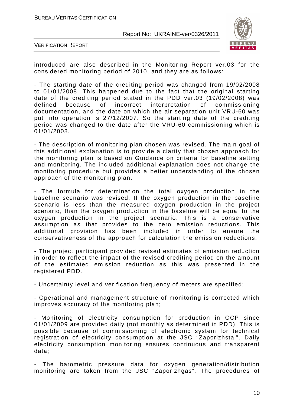

VERIFICATION REPORT

introduced are also described in the Monitoring Report ver.03 for the considered monitoring period of 2010, and they are as follows:

- The starting date of the crediting period was changed from 19/02/2008 to 01/01/2008. This happened due to the fact that the original starting date of the crediting period stated in the PDD ver.03 (19/02/2008) was defined because of incorrect interpretation of commissioning documentation, and the date on which the air separation unit VRU-60 was put into operation is 27/12/2007. So the starting date of the crediting period was changed to the date after the VRU-60 commissioning which is 01/01/2008.

- The description of monitoring plan chosen was revised. The main goal of this additional explanation is to provide a clarity that chosen approach for the monitoring plan is based on Guidance on criteria for baseline setting and monitoring. The included additional explanation does not change the monitoring procedure but provides a better understanding of the chosen approach of the monitoring plan.

- The formula for determination the total oxygen production in the baseline scenario was revised. If the oxygen production in the baseline scenario is less than the measured oxygen production in the project scenario, than the oxygen production in the baseline will be equal to the oxygen production in the project scenario. This is a conservative assumption as that provides to the zero emission reductions. This additional provision has been included in order to ensure the conservativeness of the approach for calculation the emission reductions.

- The project participant provided revised estimates of emission reduction in order to reflect the impact of the revised crediting period on the amount of the estimated emission reduction as this was presented in the registered PDD.

- Uncertainty level and verification frequency of meters are specified;

- Operational and management structure of monitoring is corrected which improves accuracy of the monitoring plan;

- Monitoring of electricity consumption for production in OCP since 01/01/2009 are provided daily (not monthly as determined in PDD). This is possible because of commissioning of electronic system for technical registration of electricity consumption at the JSC "Zaporizhstal". Daily electricity consumption monitoring ensures continuous and transparent data;

- The barometric pressure data for oxygen generation/distribution monitoring are taken from the JSC "Zaporizhgas". The procedures of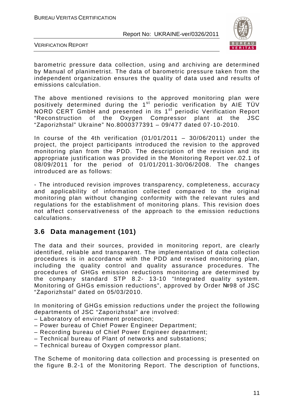

VERIFICATION REPORT

barometric pressure data collection, using and archiving are determined by Manual of planimetrist. The data of barometric pressure taken from the independent organization ensures the quality of data used and results of emissions calculation.

The above mentioned revisions to the approved monitoring plan were positively determined during the  $1<sup>st</sup>$  periodic verification by AIE TÜV NORD CERT GmbH and presented in its 1<sup>st</sup> periodic Verification Report "Reconstruction of the Oxygen Compressor plant at the JSC "Zaporizhstal" Ukraine" No.8000377391 – 09/477 dated 07-10-2010.

In course of the 4th verification  $(01/01/2011 - 30/06/2011)$  under the project, the project participants introduced the revision to the approved monitoring plan from the PDD. The description of the revision and its appropriate justification was provided in the Monitoring Report ver.02.1 of 08/09/2011 for the period of 01/01/2011-30/06/2008. The changes introduced are as follows:

- The introduced revision improves transparency, completeness, accuracy and applicability of information collected compared to the original monitoring plan without changing conformity with the relevant rules and regulations for the establishment of monitoring plans. This revision does not affect conservativeness of the approach to the emission reductions calculations.

## **3.6 Data management (101)**

The data and their sources, provided in monitoring report, are clearly identified, reliable and transparent. The implementation of data collection procedures is in accordance with the PDD and revised monitoring plan, including the quality control and quality assurance procedures. The procedures of GHGs emission reductions monitoring are determined by the company standard STP 8.2- 13-10 "Integrated quality system. Monitoring of GHGs emission reductions", approved by Order №98 of JSC "Zaporizhstal" dated on 05/03/2010.

In monitoring of GHGs emission reductions under the project the following departments of JSC "Zaporizhstal" are involved:

- Laboratory of environment protection;
- Power bureau of Chief Power Engineer Department;
- Recording bureau of Chief Power Engineer department;
- Technical bureau of Plant of networks and substations;
- Technical bureau of Oxygen compressor plant.

The Scheme of monitoring data collection and processing is presented on the figure B.2-1 of the Monitoring Report. The description of functions,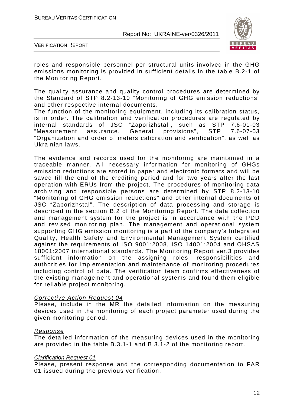

VERIFICATION REPORT

roles and responsible personnel per structural units involved in the GHG emissions monitoring is provided in sufficient details in the table B.2-1 of the Monitoring Report.

The quality assurance and quality control procedures are determined by the Standard of STP 8.2-13-10 "Monitoring of GHG emission reductions" and other respective internal documents.

The function of the monitoring equipment, including its calibration status, is in order. The calibration and verification procedures are regulated by internal standards of JSC "Zaporizhstal", such as STP 7.6-01-03 "Measurement assurance. General provisions", STP 7.6-07-03 "Organization and order of meters calibration and verification", as well as Ukrainian laws.

The evidence and records used for the monitoring are maintained in a traceable manner. All necessary information for monitoring of GHGs emission reductions are stored in paper and electronic formats and will be saved till the end of the crediting period and for two years after the last operation with ERUs from the project. The procedures of monitoring data archiving and responsible persons are determined by STP 8.2-13-10 "Monitoring of GHG emission reductions" and other internal documents of JSC "Zaporizhstal". The description of data processing and storage is described in the section B.2 of the Monitoring Report. The data collection and management system for the project is in accordance with the PDD and revised monitoring plan. The management and operational system supporting GHG emission monitoring is a part of the company's Integrated Quality, Health Safety and Environmental Management System certified against the requirements of ISO 9001:2008, ISO 14001:2004 and OHSAS 18001:2007 international standards. The Monitoring Report ver.3 provides sufficient information on the assigning roles, responsibilities and authorities for implementation and maintenance of monitoring procedures including control of data. The verification team confirms effectiveness of the existing management and operational systems and found them eligible for reliable project monitoring.

#### Corrective Action Request 04

Please, include in the MR the detailed information on the measuring devices used in the monitoring of each project parameter used during the given monitoring period.

#### Response

The detailed information of the measuring devices used in the monitoring are provided in the table B.3.1-1 and B.3.1-2 of the monitoring report.

#### Clarification Request 01

Please, present response and the corresponding documentation to FAR 01 issued during the previous verification.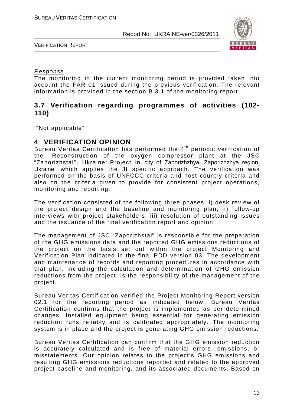

VERIFICATION REPORT

#### Response

The monitoring in the current monitoring period is provided taken into account the FAR 01 issued during the previous verification. The relevant information is provided in the section B.3.1 of the monitoring report.

## **3.7 Verification regarding programmes of activities (102- 110)**

"Not applicable"

## **4 VERIFICATION OPINION**

Bureau Veritas Certification has performed the  $4<sup>th</sup>$  periodic verification of the "Reconstruction of the oxygen compressor plant at the JSC "Zaporizhstal", Ukraine" Project in city of Zaporizhzhya, Zaporizhzhya region, Ukraine, which applies the JI specific approach. The verification was performed on the basis of UNFCCC criteria and host country criteria and also on the criteria given to provide for consistent project operations, monitoring and reporting.

The verification consisted of the following three phases: i) desk review of the project design and the baseline and monitoring plan; ii) follow-up interviews with project stakeholders; iii) resolution of outstanding issues and the issuance of the final verification report and opinion.

The management of JSC "Zaporizhstal" is responsible for the preparation of the GHG emissions data and the reported GHG emissions reductions of the project on the basis set out within the project Monitoring and Verification Plan indicated in the final PDD version 03. The development and maintenance of records and reporting procedures in accordance with that plan, including the calculation and determination of GHG emission reductions from the project, is the responsibility of the management of the project.

Bureau Veritas Certification verified the Project Monitoring Report version 02.1 for the reporting period as indicated below. Bureau Veritas Certification confirms that the project is implemented as per determined changes. Installed equipment being essential for generating emission reduction runs reliably and is calibrated appropriately. The monitoring system is in place and the project is generating GHG emission reductions.

Bureau Veritas Certification can confirm that the GHG emission reduction is accurately calculated and is free of material errors, omissions, or misstatements. Our opinion relates to the project's GHG emissions and resulting GHG emissions reductions reported and related to the approved project baseline and monitoring, and its associated documents. Based on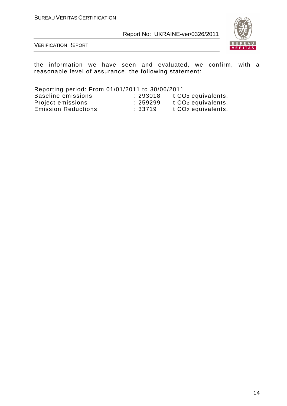

VERIFICATION REPORT

the information we have seen and evaluated, we confirm, with a reasonable level of assurance, the following statement:

Reporting period: From 01/01/2011 to 30/06/2011

| Baseline emissions         | : 293018 | t CO <sub>2</sub> equivalents. |
|----------------------------|----------|--------------------------------|
| Project emissions          | : 259299 | t CO <sub>2</sub> equivalents. |
| <b>Emission Reductions</b> | :33719   | t CO <sub>2</sub> equivalents. |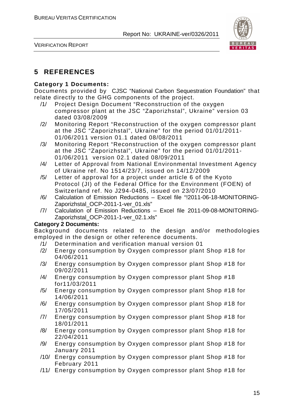

VERIFICATION REPORT

## **5 REFERENCES**

### **Category 1 Documents:**

Documents provided by CJSC "National Carbon Sequestration Foundation" that relate directly to the GHG components of the project.

- /1/ Project Design Document "Reconstruction of the oxygen compressor plant at the JSC "Zaporizhstal", Ukraine" version 03 dated 03/08/2009
- /2/ Monitoring Report "Reconstruction of the oxygen compressor plant at the JSC "Zaporizhstal", Ukraine" for the period 01/01/2011- 01/06/2011 version 01.1 dated 08/08/2011
- /3/ Monitoring Report "Reconstruction of the oxygen compressor plant at the JSC "Zaporizhstal", Ukraine" for the period 01/01/2011- 01/06/2011 version 02.1 dated 08/09/2011
- /4/ Letter of Approval from National Environmental Investment Agency of Ukraine ref. No 1514/23/7, issued on 14/12/2009
- /5/ Letter of approval for a project under article 6 of the Kyoto Protocol (JI) of the Federal Office for the Environment (FOEN) of Switzerland ref. No J294-0485, issued on 23/07/2010
- /6/ Calculation of Emission Reductions Excel file "!2011-06-18-MONITORING-Zaporizhstal\_OCP-2011-1-ver\_01.xls"
- /7/ Calculation of Emission Reductions Excel file 2011-09-08-MONITORING-Zaporizhstal OCP-2011-1-ver 02.1.xls"

#### **Category 2 Documents:**

Background documents related to the design and/or methodologies employed in the design or other reference documents.

- /1/ Determination and verification manual version 01
- /2/ Energy consumption by Oxygen compressor plant Shop #18 for 04/06/2011
- /3/ Energy consumption by Oxygen compressor plant Shop #18 for 09/02/2011
- /4/ Energy consumption by Oxygen compressor plant Shop #18 for11/03/2011
- /5/ Energy consumption by Oxygen compressor plant Shop #18 for 14/06/2011
- /6/ Energy consumption by Oxygen compressor plant Shop #18 for 17/05/2011
- /7/ Energy consumption by Oxygen compressor plant Shop #18 for 18/01/2011
- /8/ Energy consumption by Oxygen compressor plant Shop #18 for 22/04/2011
- /9/ Energy consumption by Oxygen compressor plant Shop #18 for January 2011
- /10/ Energy consumption by Oxygen compressor plant Shop #18 for February 2011
- /11/ Energy consumption by Oxygen compressor plant Shop #18 for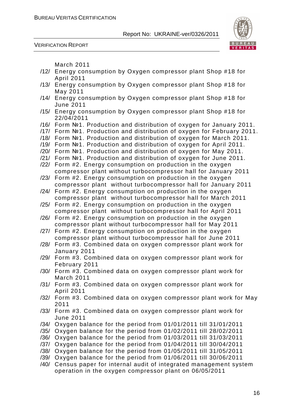

VERIFICATION REPORT

March 2011

- /12/ Energy consumption by Oxygen compressor plant Shop #18 for April 2011
- /13/ Energy consumption by Oxygen compressor plant Shop #18 for May 2011
- /14/ Energy consumption by Oxygen compressor plant Shop #18 for June 2011
- /15/ Energy consumption by Oxygen compressor plant Shop #18 for 22/04/2011
- /16/ Form №1. Production and distribution of oxygen for January 2011.
- /17/ Form №1. Production and distribution of oxygen for February 2011.
- /18/ Form №1. Production and distribution of oxygen for March 2011.
- /19/ Form №1. Production and distribution of oxygen for April 2011.
- /20/ Form №1. Production and distribution of oxygen for May 2011.
- /21/ Form №1. Production and distribution of oxygen for June 2011.
- /22/ Form #2. Energy consumption on production in the oxygen compressor plant without turbocompressor hall for January 2011
- /23/ Form #2. Energy consumption on production in the oxygen compressor plant without turbocompressor hall for January 2011
- /24/ Form #2. Energy consumption on production in the oxygen compressor plant without turbocompressor hall for March 2011
- /25/ Form #2. Energy consumption on production in the oxygen compressor plant without turbocompressor hall for April 2011
- /26/ Form #2. Energy consumption on production in the oxygen compressor plant without turbocompressor hall for May 2011
- /27/ Form #2. Energy consumption on production in the oxygen compressor plant without turbocompressor hall for June 2011
- /28/ Form #3. Combined data on oxygen compressor plant work for January 2011
- /29/ Form #3. Combined data on oxygen compressor plant work for February 2011
- /30/ Form #3. Combined data on oxygen compressor plant work for March 2011
- /31/ Form #3. Combined data on oxygen compressor plant work for April 2011
- /32/ Form #3. Combined data on oxygen compressor plant work for May 2011
- /33/ Form #3. Combined data on oxygen compressor plant work for June 2011
- /34/ Oxygen balance for the period from 01/01/2011 till 31/01/2011
- /35/ Oxygen balance for the period from 01/02/2011 till 28/02/2011
- /36/ Oxygen balance for the period from 01/03/2011 till 31/03/2011
- /37/ Oxygen balance for the period from 01/04/2011 till 30/04/2011
- /38/ Oxygen balance for the period from 01/05/2011 till 31/05/2011
- /39/ Oxygen balance for the period from 01/06/2011 till 30/06/2011
- /40/ Census paper for internal audit of integrated management system operation in the oxygen compressor plant on 06/05/2011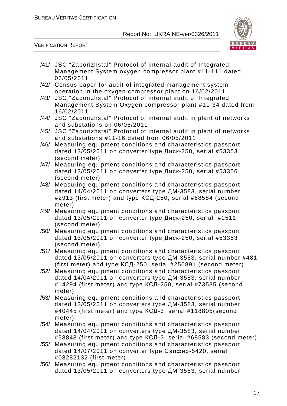

VERIFICATION REPORT

- /41/ JSC "Zaporizhstal" Protocol of internal audit of Integrated Management System oxygen compressor plant #11-111 dated 06/05/2011 /42/ Census paper for audit of integrated management system operation in the oxygen compressor plant on 16/02/2011 /43/ JSC "Zaporizhstal" Protocol of internal audit of Integrated Management System Oxygen compressor plant #11-34 dated from 16/02/2011
- /44/ JSC "Zaporizhstal" Protocol of internal audit in plant of networks and substations on 06/05/2011
- /45/ JSC "Zaporizhstal" Protocol of internal audit in plant of networks and substations #11-16 dated from 06/05/2011
- /46/ Measuring equipment conditions and characteristics passport dated 13/05/2011 on converter type Диск-250, serial #53353 (second meter)
- /47/ Measuring equipment conditions and characteristics passport dated 13/05/2011 on converter type Диск-250, serial #53356 (second meter)
- /48/ Measuring equipment conditions and characteristics passport dated 14/04/2011 on converters type ДM-3583, serial number #2913 (first meter) and type КСД-250, serial #68584 (second meter)
- /49/ Measuring equipment conditions and characteristics passport dated 13/05/2011 on converter type Диск-250, serial #1511 (second meter)
- /50/ Measuring equipment conditions and characteristics passport dated 13/05/2011 on converter type Диск-250, serial #53353 (second meter)
- /51/ Measuring equipment conditions and characteristics passport dated 13/05/2011 on converters type ДM-3583, serial number #481 (first meter) and type КСД-250, serial #250891 (second meter)
- /52/ Measuring equipment conditions and characteristics passport dated 14/04/2011 on converters type ДM-3583, serial number #14294 (first meter) and type КСД-250, serial #73535 (second meter)
- /53/ Measuring equipment conditions and characteristics passport dated 13/05/2011 on converters type ДM-3583, serial number #40445 (first meter) and type КСД-3, serial #118805(second meter)
- /54/ Measuring equipment conditions and characteristics passport dated 14/04/2011 on converters type ДM-3583, serial number #58848 (first meter) and type КСД-3, serial #68583 (second meter)
- /55/ Measuring equipment conditions and characteristics passport dated 14/07/2011 on converter type Сапфир-5420, serial #08282132 (first meter)
- /56/ Measuring equipment conditions and characteristics passport dated 13/05/2011 on converters type ДM-3583, serial number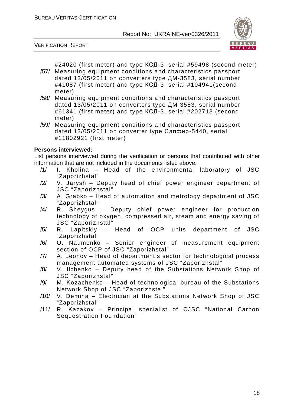

VERIFICATION REPORT

#24020 (first meter) and type КСД-3, serial #59498 (second meter)

- /57/ Measuring equipment conditions and characteristics passport dated 13/05/2011 on converters type ДM-3583, serial number #41087 (first meter) and type КСД-3, serial #104941(second meter)
- /58/ Measuring equipment conditions and characteristics passport dated 13/05/2011 on converters type ДM-3583, serial number #61341 (first meter) and type КСД-3, serial #202713 (second meter)
- /59/ Measuring equipment conditions and characteristics passport dated 13/05/2011 on converter type Сапфир-5440, serial #11802921 (first meter)

#### **Persons interviewed:**

List persons interviewed during the verification or persons that contributed with other information that are not included in the documents listed above.

- /1/ I. Kholina Head of the environmental laboratory of JSC "Zaporizhstal"
- /2/ V. Jarysh Deputy head of chief power engineer department of JSC "Zaporizhstal"
- /3/ A. Grabko Head of automation and metrology department of JSC "Zaporizhstal"
- /4/ R. Sheygus Deputy chief power engineer for production technology of oxygen, compressed air, steam and energy saving of JSC "Zaporizhstal"
- /5/ R. Lapitskiy Head of OCP units department of JSC "Zaporizhstal"
- /6/ O. Naumenko Senior engineer of measurement equipment section of OCP of JSC "Zaporizhstal"
- /7/ A. Leonov Head of department's sector for technological process management automated systems of JSC "Zaporizhstal"
- /8/ V. Ilchenko Deputy head of the Substations Network Shop of JSC "Zaporizhstal"
- /9/ M. Kozachenko Head of technological bureau of the Substations Network Shop of JSC "Zaporizhstal"
- /10/ V. Demina Electrician at the Substations Network Shop of JSC "Zaporizhstal"
- /11/ R. Kazakov Principal specialist of CJSC "National Carbon Sequestration Foundation"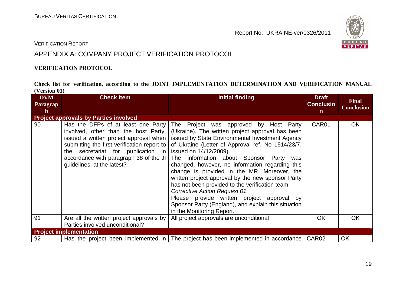

#### VERIFICATION REPORT

## APPENDIX A: COMPANY PROJECT VERIFICATION PROTOCOL

#### **VERIFICATION PROTOCOL**

**Check list for verification, according to the JOINT IMPLEMENTATION DETERMINATION AND VERIFICATION MANUAL (Version 01)** 

| <b>DVM</b>  | <b>Check Item</b>                                                                                                                                                                                                                                                                 | <b>Initial finding</b>                                                                                                                                                                                                                                                                                                                                                                                                                                                                                                                                                                                                                                       | <b>Draft</b>      | <b>Final</b>      |
|-------------|-----------------------------------------------------------------------------------------------------------------------------------------------------------------------------------------------------------------------------------------------------------------------------------|--------------------------------------------------------------------------------------------------------------------------------------------------------------------------------------------------------------------------------------------------------------------------------------------------------------------------------------------------------------------------------------------------------------------------------------------------------------------------------------------------------------------------------------------------------------------------------------------------------------------------------------------------------------|-------------------|-------------------|
| Paragrap    |                                                                                                                                                                                                                                                                                   |                                                                                                                                                                                                                                                                                                                                                                                                                                                                                                                                                                                                                                                              | <b>Conclusio</b>  | <b>Conclusion</b> |
| $\mathbf h$ |                                                                                                                                                                                                                                                                                   |                                                                                                                                                                                                                                                                                                                                                                                                                                                                                                                                                                                                                                                              | n                 |                   |
|             | <b>Project approvals by Parties involved</b>                                                                                                                                                                                                                                      |                                                                                                                                                                                                                                                                                                                                                                                                                                                                                                                                                                                                                                                              |                   |                   |
| 90          | Has the DFPs of at least one Party<br>involved, other than the host Party,<br>issued a written project approval when<br>submitting the first verification report to<br>the secretariat for publication in<br>accordance with paragraph 38 of the JI<br>guidelines, at the latest? | The Project was approved by Host Party<br>(Ukraine). The written project approval has been<br>issued by State Environmental Investment Agency<br>of Ukraine (Letter of Approval ref. No 1514/23/7,<br>issued on 14/12/2009).<br>The information about Sponsor Party<br>was<br>changed, however, no information regarding this<br>change is provided in the MR. Moreover, the<br>written project approval by the new sponsor Party<br>has not been provided to the verification team<br><b>Corrective Action Request 01</b><br>Please provide written project approval by<br>Sponsor Party (England), and explain this situation<br>in the Monitoring Report. | CAR01             | <b>OK</b>         |
| 91          | Are all the written project approvals by<br>Parties involved unconditional?                                                                                                                                                                                                       | All project approvals are unconditional                                                                                                                                                                                                                                                                                                                                                                                                                                                                                                                                                                                                                      | <b>OK</b>         | <b>OK</b>         |
|             | <b>Project implementation</b>                                                                                                                                                                                                                                                     |                                                                                                                                                                                                                                                                                                                                                                                                                                                                                                                                                                                                                                                              |                   |                   |
|             |                                                                                                                                                                                                                                                                                   |                                                                                                                                                                                                                                                                                                                                                                                                                                                                                                                                                                                                                                                              |                   |                   |
| 92          |                                                                                                                                                                                                                                                                                   | Has the project been implemented in   The project has been implemented in accordance                                                                                                                                                                                                                                                                                                                                                                                                                                                                                                                                                                         | CAR <sub>02</sub> | OK                |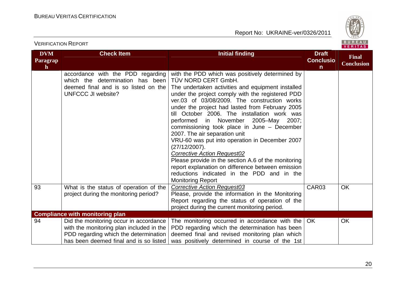

#### **DVM Paragraph Check Item Initial finding Check Item Initial finding Check Item Initial finding Initial finding Initial finding ConclusionFinal Conclusion** accordance with the PDD regarding which the determination has been deemed final and is so listed on the UNFCCC JI website? with the PDD which was positively determined by TÜV NORD CERT GmbH. The undertaken activities and equipment installed under the project comply with the registered PDD ver.03 of 03/08/2009. The construction works under the project had lasted from February 2005 till October 2006. The installation work was performed in November 2005–May 2007; commissioning took place in June – December 2007. The air separation unit VRU-60 was put into operation in December 2007 (27/12/2007). **Corrective Action Request02**  Please provide in the section A.6 of the monitoring report explanation on difference between emission reductions indicated in the PDD and in the Monitoring Report **Corrective Action Request03** 93 What is the status of operation of the project during the monitoring period? Please, provide the information in the Monitoring Report regarding the status of operation of the project during the current monitoring period. CAR03 OK **Compliance with monitoring plan** 94 **Did the monitoring occur in accordance**  with the monitoring plan included in the PDD regarding which the determination has been deemed final and is so listed The monitoring occurred in accordance with the PDD regarding which the determination has been deemed final and revised monitoring plan which was positively determined in course of the 1st OK OK

VERIFICATION REPORT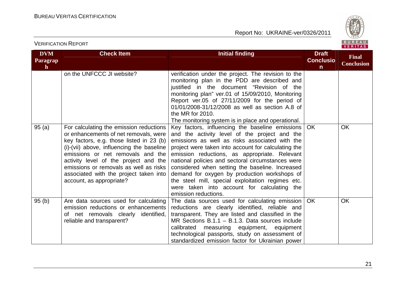

| <b>DVM</b><br>Paragrap<br>$\mathbf{h}$ | <b>Check Item</b>                                                                                                                                                                                                                                                                                                                                                       | <b>Initial finding</b>                                                                                                                                                                                                                                                                                                                                                                                                                                                                                                                         | <b>Draft</b><br><b>Conclusio</b><br>$\mathsf{n}$ | <b>Final</b><br><b>Conclusion</b> |
|----------------------------------------|-------------------------------------------------------------------------------------------------------------------------------------------------------------------------------------------------------------------------------------------------------------------------------------------------------------------------------------------------------------------------|------------------------------------------------------------------------------------------------------------------------------------------------------------------------------------------------------------------------------------------------------------------------------------------------------------------------------------------------------------------------------------------------------------------------------------------------------------------------------------------------------------------------------------------------|--------------------------------------------------|-----------------------------------|
|                                        | on the UNFCCC JI website?                                                                                                                                                                                                                                                                                                                                               | verification under the project. The revision to the<br>monitoring plan in the PDD are described and<br>justified in the document "Revision of the<br>monitoring plan" ver.01 of 15/09/2010, Monitoring<br>Report ver.05 of 27/11/2009 for the period of<br>01/01/2008-31/12/2008 as well as section A.8 of<br>the MR for 2010.<br>The monitoring system is in place and operational.                                                                                                                                                           |                                                  |                                   |
| 95(a)                                  | For calculating the emission reductions<br>or enhancements of net removals, were<br>key factors, e.g. those listed in 23 (b)<br>(i)-(vii) above, influencing the baseline<br>emissions or net removals and the<br>activity level of the project and the<br>emissions or removals as well as risks<br>associated with the project taken into<br>account, as appropriate? | Key factors, influencing the baseline emissions<br>and the activity level of the project and the<br>emissions as well as risks associated with the<br>project were taken into account for calculating the<br>emission reductions, as appropriate. Relevant<br>national policies and sectoral circumstances were<br>considered when setting the baseline. Increased<br>demand for oxygen by production workshops of<br>the steel mill, special exploitation regimes etc.<br>were taken into account for calculating the<br>emission reductions. | <b>OK</b>                                        | <b>OK</b>                         |
| 95(b)                                  | Are data sources used for calculating<br>emission reductions or enhancements<br>of net removals clearly identified,<br>reliable and transparent?                                                                                                                                                                                                                        | The data sources used for calculating emission<br>reductions are clearly identified, reliable and<br>transparent. They are listed and classified in the<br>MR Sections $B.1.1 - B.1.3$ . Data sources include<br>calibrated measuring equipment, equipment<br>technological passports, study on assessment of<br>standardized emission factor for Ukrainian power                                                                                                                                                                              | <b>OK</b>                                        | <b>OK</b>                         |

VERIFICATION REPORT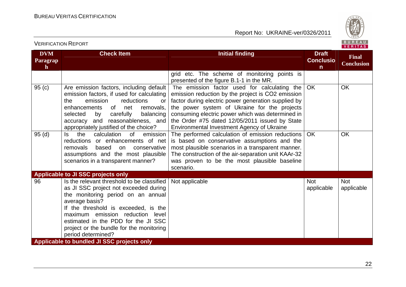

| <b>DVM</b><br>Paragrap<br>$\mathbf{h}$ | <b>Check Item</b>                                                                                                                                                                                                                                                                                                                | <b>Initial finding</b>                                                                                                                                                                                                                                                                                                                                       | <b>Draft</b><br><b>Conclusio</b><br>n | <b>Final</b><br><b>Conclusion</b> |
|----------------------------------------|----------------------------------------------------------------------------------------------------------------------------------------------------------------------------------------------------------------------------------------------------------------------------------------------------------------------------------|--------------------------------------------------------------------------------------------------------------------------------------------------------------------------------------------------------------------------------------------------------------------------------------------------------------------------------------------------------------|---------------------------------------|-----------------------------------|
|                                        |                                                                                                                                                                                                                                                                                                                                  | grid etc. The scheme of monitoring points is<br>presented of the figure B.1-1 in the MR.                                                                                                                                                                                                                                                                     |                                       |                                   |
| 95(c)                                  | Are emission factors, including default<br>emission factors, if used for calculating<br>emission<br>reductions<br>the<br>or<br>enhancements<br>0f<br>net<br>removals,<br>balancing<br>selected<br>carefully<br>by<br>accuracy and reasonableness, and<br>appropriately justified of the choice?                                  | The emission factor used for calculating the<br>emission reduction by the project is CO2 emission<br>factor during electric power generation supplied by<br>the power system of Ukraine for the projects<br>consuming electric power which was determined in<br>the Order #75 dated 12/05/2011 issued by State<br>Environmental Investment Agency of Ukraine | <b>OK</b>                             | <b>OK</b>                         |
| 95(d)                                  | the<br>calculation<br>ls.<br>0f<br>emission<br>reductions or enhancements of net<br>removals<br>based<br>conservative<br>on<br>assumptions and the most plausible<br>scenarios in a transparent manner?                                                                                                                          | The performed calculation of emission reductions<br>is based on conservative assumptions and the<br>most plausible scenarios in a transparent manner.<br>The construction of the air-separation unit KAAr-32<br>was proven to be the most plausible baseline<br>scenario.                                                                                    | <b>OK</b>                             | <b>OK</b>                         |
|                                        | Applicable to JI SSC projects only                                                                                                                                                                                                                                                                                               |                                                                                                                                                                                                                                                                                                                                                              |                                       |                                   |
| 96                                     | Is the relevant threshold to be classified<br>as JI SSC project not exceeded during<br>the monitoring period on an annual<br>average basis?<br>If the threshold is exceeded, is the<br>maximum emission reduction level<br>estimated in the PDD for the JI SSC<br>project or the bundle for the monitoring<br>period determined? | Not applicable                                                                                                                                                                                                                                                                                                                                               | <b>Not</b><br>applicable              | <b>Not</b><br>applicable          |
|                                        | Applicable to bundled JI SSC projects only                                                                                                                                                                                                                                                                                       |                                                                                                                                                                                                                                                                                                                                                              |                                       |                                   |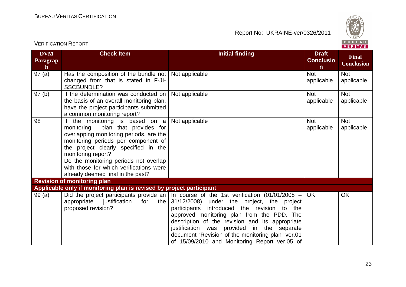

| <b>VERIFICATION REPORT</b>             |                                                                                                                                                                                                                                                                                                                                                    |                                                                                                                                                                                                                                                                                                                                                                                                                                             |                                                  | BUREAU<br><b>VERITAS</b>          |  |
|----------------------------------------|----------------------------------------------------------------------------------------------------------------------------------------------------------------------------------------------------------------------------------------------------------------------------------------------------------------------------------------------------|---------------------------------------------------------------------------------------------------------------------------------------------------------------------------------------------------------------------------------------------------------------------------------------------------------------------------------------------------------------------------------------------------------------------------------------------|--------------------------------------------------|-----------------------------------|--|
| <b>DVM</b><br>Paragrap<br>$\mathbf{h}$ | <b>Check Item</b>                                                                                                                                                                                                                                                                                                                                  | <b>Initial finding</b>                                                                                                                                                                                                                                                                                                                                                                                                                      | <b>Draft</b><br><b>Conclusio</b><br>$\mathsf{n}$ | <b>Final</b><br><b>Conclusion</b> |  |
| 97(a)                                  | Has the composition of the bundle not   Not applicable<br>changed from that is stated in F-JI-<br><b>SSCBUNDLE?</b>                                                                                                                                                                                                                                |                                                                                                                                                                                                                                                                                                                                                                                                                                             | <b>Not</b><br>applicable                         | <b>Not</b><br>applicable          |  |
| 97(b)                                  | If the determination was conducted on<br>the basis of an overall monitoring plan,<br>have the project participants submitted<br>a common monitoring report?                                                                                                                                                                                        | Not applicable                                                                                                                                                                                                                                                                                                                                                                                                                              | <b>Not</b><br>applicable                         | <b>Not</b><br>applicable          |  |
| 98                                     | If the monitoring is based on $a$<br>plan that provides for<br>monitoring<br>overlapping monitoring periods, are the<br>monitoring periods per component of<br>the project clearly specified in the<br>monitoring report?<br>Do the monitoring periods not overlap<br>with those for which verifications were<br>already deemed final in the past? | Not applicable                                                                                                                                                                                                                                                                                                                                                                                                                              | <b>Not</b><br>applicable                         | <b>Not</b><br>applicable          |  |
|                                        | <b>Revision of monitoring plan</b><br>Applicable only if monitoring plan is revised by project participant                                                                                                                                                                                                                                         |                                                                                                                                                                                                                                                                                                                                                                                                                                             |                                                  |                                   |  |
| 99(a)                                  | justification<br>appropriate<br>for<br>the<br>proposed revision?                                                                                                                                                                                                                                                                                   | Did the project participants provide an In course of the 1st verification (01/01/2008 $-$<br>31/12/2008) under the project, the project<br>participants introduced the revision to the<br>approved monitoring plan from the PDD. The<br>description of the revision and its appropriate<br>justification was provided in the separate<br>document "Revision of the monitoring plan" ver.01<br>of 15/09/2010 and Monitoring Report ver.05 of | OK                                               | OK                                |  |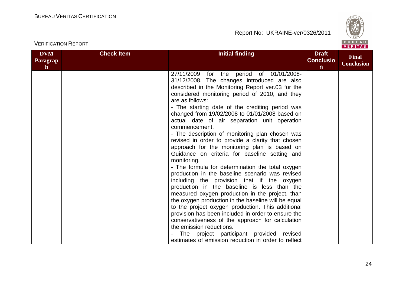

|                                        | <b>VERIFICATION REPORT</b> |                                                                                                                                                                                                                                                                                                                                                                                                                                                                                                                                                                                                                                                                                                                                                                                                                                                                                                                                                                                                                                                                                                                                                                                                                             |                                                  | BUREAU<br><b>VERITAS</b>          |
|----------------------------------------|----------------------------|-----------------------------------------------------------------------------------------------------------------------------------------------------------------------------------------------------------------------------------------------------------------------------------------------------------------------------------------------------------------------------------------------------------------------------------------------------------------------------------------------------------------------------------------------------------------------------------------------------------------------------------------------------------------------------------------------------------------------------------------------------------------------------------------------------------------------------------------------------------------------------------------------------------------------------------------------------------------------------------------------------------------------------------------------------------------------------------------------------------------------------------------------------------------------------------------------------------------------------|--------------------------------------------------|-----------------------------------|
| <b>DVM</b><br>Paragrap<br>$\mathbf{h}$ | <b>Check Item</b>          | <b>Initial finding</b>                                                                                                                                                                                                                                                                                                                                                                                                                                                                                                                                                                                                                                                                                                                                                                                                                                                                                                                                                                                                                                                                                                                                                                                                      | <b>Draft</b><br><b>Conclusio</b><br>$\mathsf{n}$ | <b>Final</b><br><b>Conclusion</b> |
|                                        |                            | 27/11/2009 for the period of 01/01/2008-<br>31/12/2008. The changes introduced are also<br>described in the Monitoring Report ver.03 for the<br>considered monitoring period of 2010, and they<br>are as follows:<br>- The starting date of the crediting period was<br>changed from 19/02/2008 to 01/01/2008 based on<br>actual date of air separation unit operation<br>commencement.<br>- The description of monitoring plan chosen was<br>revised in order to provide a clarity that chosen<br>approach for the monitoring plan is based on<br>Guidance on criteria for baseline setting and<br>monitoring.<br>- The formula for determination the total oxygen<br>production in the baseline scenario was revised<br>including the provision that if the oxygen<br>production in the baseline is less than the<br>measured oxygen production in the project, than<br>the oxygen production in the baseline will be equal<br>to the project oxygen production. This additional<br>provision has been included in order to ensure the<br>conservativeness of the approach for calculation<br>the emission reductions.<br>The project participant provided revised<br>estimates of emission reduction in order to reflect |                                                  |                                   |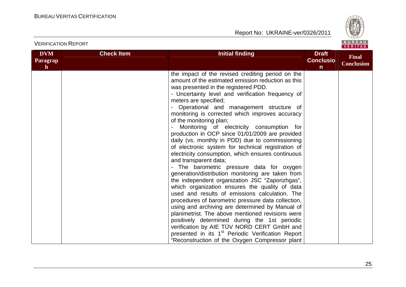

| <b>VERIFICATION REPORT</b>                    |                   |                                                                                                                                                                                                                                                                                                                                                                                                                                                                                                                                                                                                                                                                                                                                                                                                                                                                                                                                                                                                                                                                                                                                                                                                                                                                                     |                                                  | BUREAU<br><b>VERITAS</b>          |
|-----------------------------------------------|-------------------|-------------------------------------------------------------------------------------------------------------------------------------------------------------------------------------------------------------------------------------------------------------------------------------------------------------------------------------------------------------------------------------------------------------------------------------------------------------------------------------------------------------------------------------------------------------------------------------------------------------------------------------------------------------------------------------------------------------------------------------------------------------------------------------------------------------------------------------------------------------------------------------------------------------------------------------------------------------------------------------------------------------------------------------------------------------------------------------------------------------------------------------------------------------------------------------------------------------------------------------------------------------------------------------|--------------------------------------------------|-----------------------------------|
| <b>DVM</b><br><b>Paragrap</b><br>$\mathbf{h}$ | <b>Check Item</b> | <b>Initial finding</b>                                                                                                                                                                                                                                                                                                                                                                                                                                                                                                                                                                                                                                                                                                                                                                                                                                                                                                                                                                                                                                                                                                                                                                                                                                                              | <b>Draft</b><br><b>Conclusio</b><br>$\mathsf{n}$ | <b>Final</b><br><b>Conclusion</b> |
|                                               |                   | the impact of the revised crediting period on the<br>amount of the estimated emission reduction as this<br>was presented in the registered PDD.<br>- Uncertainty level and verification frequency of<br>meters are specified;<br>Operational and management structure of<br>monitoring is corrected which improves accuracy<br>of the monitoring plan;<br>Monitoring of electricity consumption for<br>production in OCP since 01/01/2009 are provided<br>daily (vs. monthly in PDD) due to commissioning<br>of electronic system for technical registration of<br>electricity consumption, which ensures continuous<br>and transparent data;<br>The barometric pressure data for oxygen<br>generation/distribution monitoring are taken from<br>the independent organization JSC "Zaporizhgas",<br>which organization ensures the quality of data<br>used and results of emissions calculation. The<br>procedures of barometric pressure data collection,<br>using and archiving are determined by Manual of<br>planimetrist. The above mentioned revisions were<br>positively determined during the 1st periodic<br>verification by AIE TÜV NORD CERT GmbH and<br>presented in its 1 <sup>st</sup> Periodic Verification Report<br>"Reconstruction of the Oxygen Compressor plant |                                                  |                                   |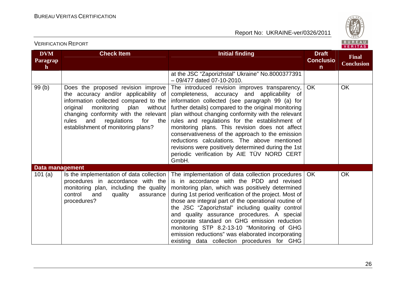VERIFICATION REPORT



| <b>DVM</b><br>Paragrap<br>$\mathbf{h}$ | <b>Check Item</b>                                                                                                                                                                                                                                                                         | <b>Initial finding</b>                                                                                                                                                                                                                                                                                                                                                                                                                                                                                                                                                                | <b>Draft</b><br><b>Conclusio</b><br>$\mathsf{n}$ | <b>Final</b><br><b>Conclusion</b> |
|----------------------------------------|-------------------------------------------------------------------------------------------------------------------------------------------------------------------------------------------------------------------------------------------------------------------------------------------|---------------------------------------------------------------------------------------------------------------------------------------------------------------------------------------------------------------------------------------------------------------------------------------------------------------------------------------------------------------------------------------------------------------------------------------------------------------------------------------------------------------------------------------------------------------------------------------|--------------------------------------------------|-----------------------------------|
|                                        |                                                                                                                                                                                                                                                                                           | at the JSC "Zaporizhstal" Ukraine" No.8000377391<br>- 09/477 dated 07-10-2010.                                                                                                                                                                                                                                                                                                                                                                                                                                                                                                        |                                                  |                                   |
| 99(b)                                  | Does the proposed revision improve<br>the accuracy and/or applicability of<br>information collected compared to the<br>monitoring plan<br>original<br>without<br>changing conformity with the relevant<br>rules<br>and<br>regulations<br>for<br>the<br>establishment of monitoring plans? | The introduced revision improves transparency,<br>completeness, accuracy and applicability of<br>information collected (see paragraph 99 (a) for<br>further details) compared to the original monitoring<br>plan without changing conformity with the relevant<br>rules and regulations for the establishment of<br>monitoring plans. This revision does not affect<br>conservativeness of the approach to the emission<br>reductions calculations. The above mentioned<br>revisions were positively determined during the 1st<br>periodic verification by AIE TÜV NORD CERT<br>GmbH. | <b>OK</b>                                        | <b>OK</b>                         |
| Data management                        |                                                                                                                                                                                                                                                                                           |                                                                                                                                                                                                                                                                                                                                                                                                                                                                                                                                                                                       |                                                  |                                   |
| 101 $(a)$                              | Is the implementation of data collection<br>procedures in accordance with the<br>monitoring plan, including the quality<br>control<br>and<br>quality<br>assurance<br>procedures?                                                                                                          | The implementation of data collection procedures<br>is in accordance with the PDD and revised<br>monitoring plan, which was positively determined<br>during 1st period verification of the project. Most of<br>those are integral part of the operational routine of<br>the JSC "Zaporizhstal" including quality control<br>and quality assurance procedures. A special<br>corporate standard on GHG emission reduction<br>monitoring STP 8.2-13-10 "Monitoring of GHG<br>emission reductions" was elaborated incorporating<br>existing data collection procedures for GHG            | <b>OK</b>                                        | <b>OK</b>                         |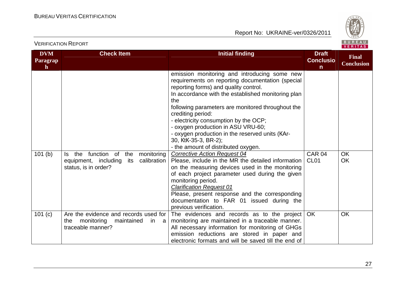

| <b>DVM</b><br>Paragrap<br>$\mathbf h$ | <b>Check Item</b>                                                                                                | <b>Initial finding</b>                                                                                                                                                                                                                                                                                                                                                                                                                                                            | <b>Draft</b><br><b>Conclusio</b><br>$\mathsf{n}$ | <b>Final</b><br><b>Conclusion</b> |
|---------------------------------------|------------------------------------------------------------------------------------------------------------------|-----------------------------------------------------------------------------------------------------------------------------------------------------------------------------------------------------------------------------------------------------------------------------------------------------------------------------------------------------------------------------------------------------------------------------------------------------------------------------------|--------------------------------------------------|-----------------------------------|
|                                       |                                                                                                                  | emission monitoring and introducing some new<br>requirements on reporting documentation (special<br>reporting forms) and quality control.<br>In accordance with the established monitoring plan<br>the<br>following parameters are monitored throughout the<br>crediting period:<br>- electricity consumption by the OCP;<br>- oxygen production in ASU VRU-60;<br>- oxygen production in the reserved units (KAr-<br>30, KtK-35-3, BR-2);<br>- the amount of distributed oxygen. |                                                  |                                   |
| 101(b)                                | function of<br>the<br>Is the<br>monitoring<br>equipment, including<br>calibration<br>its<br>status, is in order? | <b>Corrective Action Request 04</b><br>Please, include in the MR the detailed information<br>on the measuring devices used in the monitoring<br>of each project parameter used during the given<br>monitoring period.<br><b>Clarification Request 01</b><br>Please, present response and the corresponding<br>documentation to FAR 01 issued during the<br>previous verification.                                                                                                 | <b>CAR 04</b><br>CL <sub>01</sub>                | <b>OK</b><br>OK                   |
| 101 (c)                               | Are the evidence and records used for<br>monitoring<br>maintained<br>the<br>in a<br>traceable manner?            | The evidences and records as to the project<br>monitoring are maintained in a traceable manner.<br>All necessary information for monitoring of GHGs<br>emission reductions are stored in paper and<br>electronic formats and will be saved till the end of                                                                                                                                                                                                                        | <b>OK</b>                                        | <b>OK</b>                         |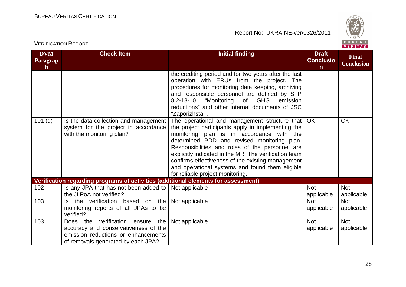

| <b>DVM</b><br>Paragrap<br>$\mathbf{h}$ | <b>Check Item</b>                                                                                                                                           | <b>Initial finding</b>                                                                                                                                                                                                                                                                                                                                                                                                                                  | <b>Draft</b><br><b>Conclusio</b><br>$\mathsf{n}$ | <b>Final</b><br><b>Conclusion</b> |  |
|----------------------------------------|-------------------------------------------------------------------------------------------------------------------------------------------------------------|---------------------------------------------------------------------------------------------------------------------------------------------------------------------------------------------------------------------------------------------------------------------------------------------------------------------------------------------------------------------------------------------------------------------------------------------------------|--------------------------------------------------|-----------------------------------|--|
|                                        |                                                                                                                                                             | the crediting period and for two years after the last<br>operation with ERUs from the project. The<br>procedures for monitoring data keeping, archiving<br>and responsible personnel are defined by STP<br>"Monitoring<br>of<br><b>GHG</b><br>$8.2 - 13 - 10$<br>emission<br>reductions" and other internal documents of JSC<br>"Zaporizhstal".                                                                                                         |                                                  |                                   |  |
| $101$ (d)                              | Is the data collection and management<br>system for the project in accordance<br>with the monitoring plan?                                                  | The operational and management structure that<br>the project participants apply in implementing the<br>monitoring plan is in accordance with the<br>determined PDD and revised monitoring plan.<br>Responsibilities and roles of the personnel are<br>explicitly indicated in the MR. The verification team<br>confirms effectiveness of the existing management<br>and operational systems and found them eligible<br>for reliable project monitoring. | <b>OK</b>                                        | <b>OK</b>                         |  |
|                                        | Verification regarding programs of activities (additional elements for assessment)                                                                          |                                                                                                                                                                                                                                                                                                                                                                                                                                                         |                                                  |                                   |  |
| 102                                    | Is any JPA that has not been added to<br>the JI PoA not verified?                                                                                           | Not applicable                                                                                                                                                                                                                                                                                                                                                                                                                                          | <b>Not</b><br>applicable                         | <b>Not</b><br>applicable          |  |
| 103                                    | Is the verification based on the<br>monitoring reports of all JPAs to be<br>verified?                                                                       | Not applicable                                                                                                                                                                                                                                                                                                                                                                                                                                          | <b>Not</b><br>applicable                         | <b>Not</b><br>applicable          |  |
| 103                                    | verification ensure<br>the<br>Does the<br>accuracy and conservativeness of the<br>emission reductions or enhancements<br>of removals generated by each JPA? | Not applicable                                                                                                                                                                                                                                                                                                                                                                                                                                          | <b>Not</b><br>applicable                         | <b>Not</b><br>applicable          |  |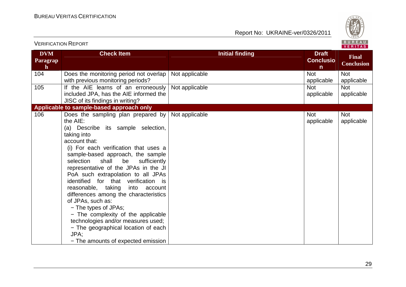

| <b>DVM</b><br>Paragrap<br>$\mathbf{h}$ | <b>Check Item</b>                                                                                                                                                                                                                                                                                                                                                                                                                                                                                                                                                                                                                                                | <b>Initial finding</b> | <b>Draft</b><br><b>Conclusio</b><br>$\mathsf{n}$ | <b>Final</b><br><b>Conclusion</b> |
|----------------------------------------|------------------------------------------------------------------------------------------------------------------------------------------------------------------------------------------------------------------------------------------------------------------------------------------------------------------------------------------------------------------------------------------------------------------------------------------------------------------------------------------------------------------------------------------------------------------------------------------------------------------------------------------------------------------|------------------------|--------------------------------------------------|-----------------------------------|
| 104                                    | Does the monitoring period not overlap<br>with previous monitoring periods?                                                                                                                                                                                                                                                                                                                                                                                                                                                                                                                                                                                      | Not applicable         | <b>Not</b><br>applicable                         | <b>Not</b><br>applicable          |
| 105                                    | If the AIE learns of an erroneously<br>included JPA, has the AIE informed the<br>JISC of its findings in writing?                                                                                                                                                                                                                                                                                                                                                                                                                                                                                                                                                | Not applicable         | <b>Not</b><br>applicable                         | <b>Not</b><br>applicable          |
|                                        | Applicable to sample-based approach only                                                                                                                                                                                                                                                                                                                                                                                                                                                                                                                                                                                                                         |                        |                                                  |                                   |
| 106                                    | Does the sampling plan prepared by<br>the AIE:<br>(a) Describe its sample selection,<br>taking into<br>account that:<br>(i) For each verification that uses a<br>sample-based approach, the sample<br>selection<br>shall<br>be<br>sufficiently<br>representative of the JPAs in the JI<br>PoA such extrapolation to all JPAs<br>identified for that verification is<br>reasonable, taking<br>into account<br>differences among the characteristics<br>of JPAs, such as:<br>- The types of JPAs;<br>- The complexity of the applicable<br>technologies and/or measures used;<br>- The geographical location of each<br>JPA;<br>- The amounts of expected emission | Not applicable         | <b>Not</b><br>applicable                         | <b>Not</b><br>applicable          |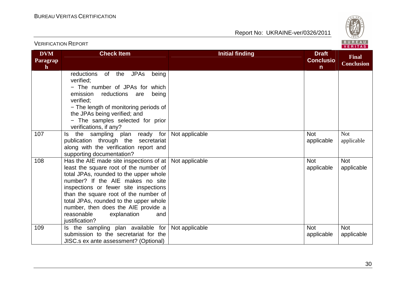

|                                        |                                                                                                                                                                                                                                                                                                                                                                                                                 |                        |                                                  | VENII MO                          |
|----------------------------------------|-----------------------------------------------------------------------------------------------------------------------------------------------------------------------------------------------------------------------------------------------------------------------------------------------------------------------------------------------------------------------------------------------------------------|------------------------|--------------------------------------------------|-----------------------------------|
| <b>DVM</b><br>Paragrap<br>$\mathbf{h}$ | <b>Check Item</b>                                                                                                                                                                                                                                                                                                                                                                                               | <b>Initial finding</b> | <b>Draft</b><br><b>Conclusio</b><br>$\mathsf{n}$ | <b>Final</b><br><b>Conclusion</b> |
|                                        | <b>JPAs</b><br>of the<br>reductions<br>being<br>verified:<br>- The number of JPAs for which<br>emission<br>reductions<br>being<br>are<br>verified:<br>- The length of monitoring periods of<br>the JPAs being verified; and<br>- The samples selected for prior<br>verifications, if any?                                                                                                                       |                        |                                                  |                                   |
| 107                                    | the sampling plan ready for<br>ls.<br>publication through the secretariat<br>along with the verification report and<br>supporting documentation?                                                                                                                                                                                                                                                                | Not applicable         | <b>Not</b><br>applicable                         | <b>Not</b><br>applicable          |
| 108                                    | Has the AIE made site inspections of at $\vert$ Not applicable<br>least the square root of the number of<br>total JPAs, rounded to the upper whole<br>number? If the AIE makes no site<br>inspections or fewer site inspections<br>than the square root of the number of<br>total JPAs, rounded to the upper whole<br>number, then does the AIE provide a<br>reasonable<br>explanation<br>and<br>justification? |                        | <b>Not</b><br>applicable                         | <b>Not</b><br>applicable          |
| 109                                    | Is the sampling plan available for<br>submission to the secretariat for the<br>JISC.s ex ante assessment? (Optional)                                                                                                                                                                                                                                                                                            | Not applicable         | <b>Not</b><br>applicable                         | <b>Not</b><br>applicable          |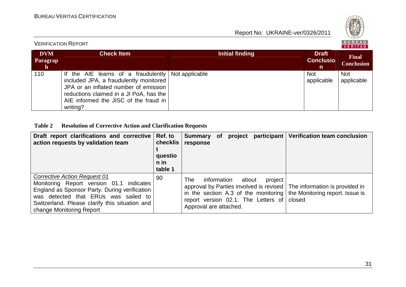

| <b>VERIFICATION REPORT</b>            |                                                                                                                                                                                                                        |                 |                                       |                                   |  |
|---------------------------------------|------------------------------------------------------------------------------------------------------------------------------------------------------------------------------------------------------------------------|-----------------|---------------------------------------|-----------------------------------|--|
| <b>DVM</b><br>Paragrap<br>$\mathbf n$ | <b>Check Item</b>                                                                                                                                                                                                      | Initial finding | <b>Draft</b><br><b>Conclusio</b><br>n | <b>Final</b><br><b>Conclusion</b> |  |
| 110                                   | If the AIE learns of a fraudulently<br>included JPA, a fraudulently monitored<br>JPA or an inflated number of emission<br>reductions claimed in a JI PoA, has the<br>AIE informed the JISC of the fraud in<br>writing? | Not applicable  | <b>Not</b><br>applicable              | <b>Not</b><br>applicable          |  |

#### **Table 2 Resolution of Corrective Action and Clarification Requests**

| Draft report clarifications and corrective<br>action requests by validation team                                                                                                                                                                       | Ref. to<br>checklis<br>questio<br>n in<br>table 1 | <b>Summary</b><br>response                   | <b>of</b> | project |                                                   | participant   Verification team conclusion                                                                                                                 |
|--------------------------------------------------------------------------------------------------------------------------------------------------------------------------------------------------------------------------------------------------------|---------------------------------------------------|----------------------------------------------|-----------|---------|---------------------------------------------------|------------------------------------------------------------------------------------------------------------------------------------------------------------|
| <b>Corrective Action Request 01</b><br>Monitoring Report version 01.1 indicates<br>England as Sponsor Party. During verification<br>was detected that ERUs was sailed to<br>Switzerland. Please clarify this situation and<br>change Monitoring Report | 90                                                | The<br>information<br>Approval are attached. |           | about   | project<br>report version $02.1$ . The Letters of | approval by Parties involved is revised   The information is provided in<br>in the section A.3 of the monitoring the Monitoring report. Issue is<br>closed |